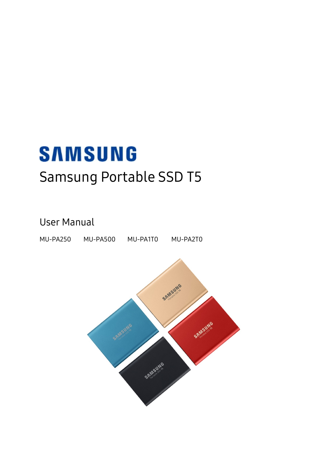# **SAMSUNG** Samsung Portable SSD T5

### User Manual

MU-PA250 MU-PA500 MU-PA1T0 MU-PA2T0

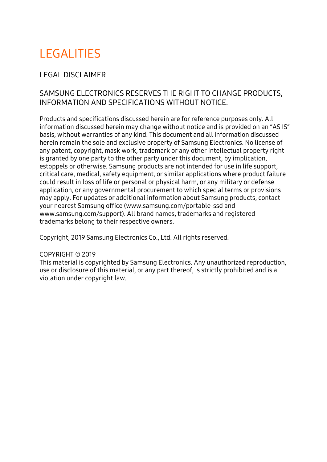## **LEGALITIES**

### LEGAL DISCLAIMER

### SAMSUNG ELECTRONICS RESERVES THE RIGHT TO CHANGE PRODUCTS, INFORMATION AND SPECIFICATIONS WITHOUT NOTICE.

Products and specifications discussed herein are for reference purposes only. All information discussed herein may change without notice and is provided on an "AS IS" basis, without warranties of any kind. This document and all information discussed herein remain the sole and exclusive property of Samsung Electronics. No license of any patent, copyright, mask work, trademark or any other intellectual property right is granted by one party to the other party under this document, by implication, estoppels or otherwise. Samsung products are not intended for use in life support, critical care, medical, safety equipment, or similar applications where product failure could result in loss of life or personal or physical harm, or any military or defense application, or any governmental procurement to which special terms or provisions may apply. For updates or additional information about Samsung products, contact your nearest Samsung office [\(www.samsung.com/portable-ssd](http://www.samsung.com/portable-ssd) and [www.samsung.com/support\)](http://www.samsung.com/support). All brand names, trademarks and registered trademarks belong to their respective owners.

Copyright, 2019 Samsung Electronics Co., Ltd. All rights reserved.

#### COPYRIGHT © 2019

This material is copyrighted by Samsung Electronics. Any unauthorized reproduction, use or disclosure of this material, or any part thereof, is strictly prohibited and is a violation under copyright law.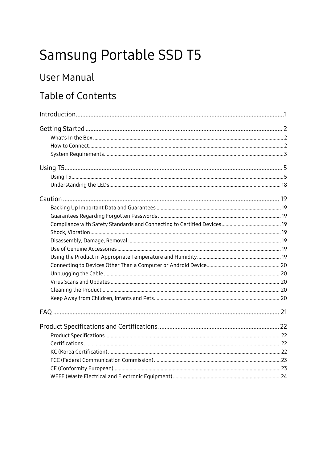## Samsung Portable SSD T5

### **User Manual**

## **Table of Contents**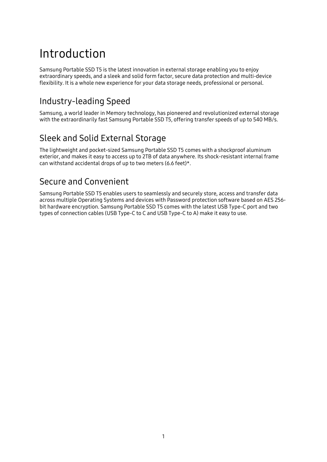## <span id="page-3-0"></span>Introduction

Samsung Portable SSD T5 is the latest innovation in external storage enabling you to enjoy extraordinary speeds, and a sleek and solid form factor, secure data protection and multi-device flexibility. It is a whole new experience for your data storage needs, professional or personal.

### Industry-leading Speed

Samsung, a world leader in Memory technology, has pioneered and revolutionized external storage with the extraordinarily fast Samsung Portable SSD T5, offering transfer speeds of up to 540 MB/s.

### Sleek and Solid External Storage

The lightweight and pocket-sized Samsung Portable SSD T5 comes with a shockproof aluminum exterior, and makes it easy to access up to 2TB of data anywhere. Its shock-resistant internal frame can withstand accidental drops of up to two meters (6.6 feet)\*.

### Secure and Convenient

Samsung Portable SSD T5 enables users to seamlessly and securely store, access and transfer data across multiple Operating Systems and devices with Password protection software based on AES 256 bit hardware encryption. Samsung Portable SSD T5 comes with the latest USB Type-C port and two types of connection cables (USB Type-C to C and USB Type-C to A) make it easy to use.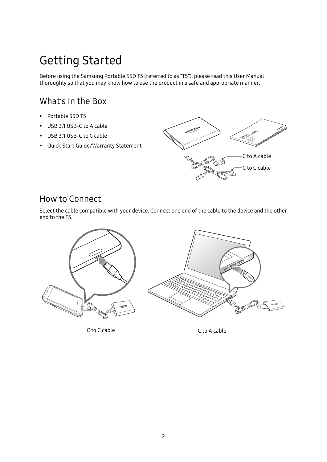## <span id="page-4-0"></span>Getting Started

Before using the Samsung Portable SSD T5 (referred to as "T5"), please read this User Manual thoroughly so that you may know how to use the product in a safe and appropriate manner.

### <span id="page-4-1"></span>What's In the Box

- Portable SSD T5
- USB 3.1 USB-C to A cable
- USB 3.1 USB-C to C cable
- Quick Start Guide/Warranty Statement



### <span id="page-4-2"></span>How to Connect

Select the cable compatible with your device. Connect one end of the cable to the device and the other end to the T5.



C to C cable C to A cable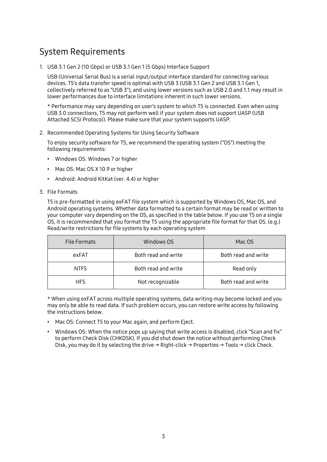### <span id="page-5-0"></span>System Requirements

1. USB 3.1 Gen 2 (10 Gbps) or USB 3.1 Gen 1 (5 Gbps) Interface Support

USB (Universal Serial Bus) is a serial input/output interface standard for connecting various devices. T5's data transfer speed is optimal with USB 3 (USB 3.1 Gen 2 and USB 3.1 Gen 1, collectively referred to as "USB 3"), and using lower versions such as USB 2.0 and 1.1 may result in lower performances due to interface limitations inherent in such lower versions.

\* Performance may vary depending on user's system to which T5 is connected. Even when using USB 3.0 connections, T5 may not perform well if your system does not support UASP (USB Attached SCSI Protocol). Please make sure that your system supports UASP.

2. Recommended Operating Systems for Using Security Software

To enjoy security software for T5, we recommend the operating system ("OS") meeting the following requirements:

- Windows OS: Windows 7 or higher
- Mac OS: Mac OS X 10.9 or higher
- Android: Android KitKat (ver. 4.4) or higher

#### 3. File Formats

T5 is pre-formatted in using exFAT file system which is supported by Windows OS, Mac OS, and Android operating systems. Whether data formatted to a certain format may be read or written to your computer vary depending on the OS, as specified in the table below. If you use T5 on a single OS, it is recommended that you format the T5 using the appropriate file format for that OS. (e.g.) Read/write restrictions for file systems by each operating system

| File Formats | Windows OS          | Mac OS              |
|--------------|---------------------|---------------------|
| exFAT        | Both read and write | Both read and write |
| <b>NTFS</b>  | Both read and write | Read only           |
| <b>HFS</b>   | Not recognizable    | Both read and write |

\* When using exFAT across multiple operating systems, data writing may become locked and you may only be able to read data. If such problem occurs, you can restore write access by following the instructions below.

- Mac OS: Connect T5 to your Mac again, and perform Eject.
- Windows OS: When the notice pops up saying that write access is disabled, click "Scan and fix" to perform Check Disk (CHKDSK). If you did shut down the notice without performing Check Disk, you may do it by selecting the drive  $\rightarrow$  Right-click  $\rightarrow$  Properties  $\rightarrow$  Tools  $\rightarrow$  click Check.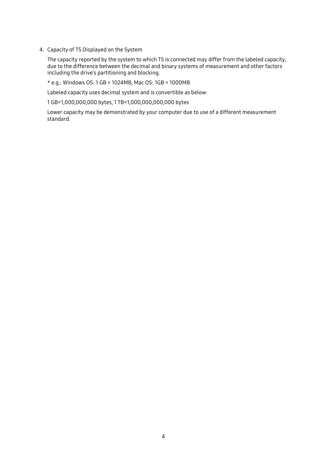4. Capacity of T5 Displayed on the System

The capacity reported by the system to which T5 is connected may differ from the labeled capacity, due to the difference between the decimal and binary systems of measurement and other factors including the drive's partitioning and blocking.

\* e.g.: Windows OS: 1 GB = 1024MB, Mac OS: 1GB = 1000MB

Labeled capacity uses decimal system and is convertible as below:

1 GB=1,000,000,000 bytes, 1 TB=1,000,000,000,000 bytes

Lower capacity may be demonstrated by your computer due to use of a different measurement standard.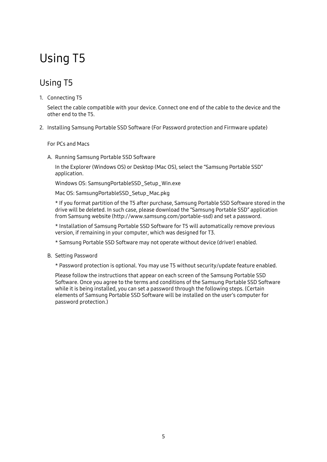## <span id="page-7-0"></span>Using T5

### <span id="page-7-1"></span>Using T5

#### 1. Connecting T5

Select the cable compatible with your device. Connect one end of the cable to the device and the other end to the T5.

2. Installing Samsung Portable SSD Software (For Password protection and Firmware update)

#### For PCs and Macs

A. Running Samsung Portable SSD Software

In the Explorer (Windows OS) or Desktop (Mac OS), select the "Samsung Portable SSD" application.

Windows OS: SamsungPortableSSD\_Setup\_Win.exe

Mac OS: SamsungPortableSSD\_Setup\_Mac.pkg

\* If you format partition of the T5 after purchase, Samsung Portable SSD Software stored in the drive will be deleted. In such case, please download the "Samsung Portable SSD" application from Samsung website (http://www.samsung.com/portable-ssd) and set a password.

\* Installation of Samsung Portable SSD Software for T5 will automatically remove previous version, if remaining in your computer, which was designed for T3.

- \* Samsung Portable SSD Software may not operate without device (driver) enabled.
- B. Setting Password

\* Password protection is optional. You may use T5 without security/update feature enabled.

Please follow the instructions that appear on each screen of the Samsung Portable SSD Software. Once you agree to the terms and conditions of the Samsung Portable SSD Software while it is being installed, you can set a password through the following steps. (Certain elements of Samsung Portable SSD Software will be installed on the user's computer for password protection.)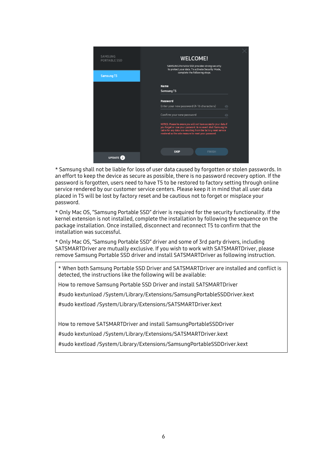| SAMSUNG<br><b>PORTABLE SSD</b> | <b>WELCOME!</b><br>SAMSUNG Portable SSD provides strong security<br>to protect your data. To activate Security Mode,                                                                                                                                            |  |
|--------------------------------|-----------------------------------------------------------------------------------------------------------------------------------------------------------------------------------------------------------------------------------------------------------------|--|
| <b>Samsung T5</b>              | complete the following steps.                                                                                                                                                                                                                                   |  |
|                                | <b>Name</b><br>Samsung T5                                                                                                                                                                                                                                       |  |
|                                | Password<br>Enter your new password (4-16 characters)<br>$\odot$                                                                                                                                                                                                |  |
|                                | Confirm your new password<br>$\odot$                                                                                                                                                                                                                            |  |
|                                | NOTICE: Please be aware you will not have access to your data if<br>you forget or lose your password. In no event shall Samsung be<br>liable for any data loss resulting from the factory reset service<br>rendered as the sole measure to reset your password. |  |
|                                | <b>SKIP</b><br><b>FINISH</b>                                                                                                                                                                                                                                    |  |
| <b>UPDATE</b>                  |                                                                                                                                                                                                                                                                 |  |

\* Samsung shall not be liable for loss of user data caused by forgotten or stolen passwords. In an effort to keep the device as secure as possible, there is no password recovery option. If the password is forgotten, users need to have T5 to be restored to factory setting through online service rendered by our customer service centers. Please keep it in mind that all user data placed in T5 will be lost by factory reset and be cautious not to forget or misplace your password.

\* Only Mac OS, "Samsung Portable SSD" driver is required for the security functionality. If the kernel extension is not installed, complete the installation by following the sequence on the package installation. Once installed, disconnect and reconnect T5 to confirm that the installation was successful.

\* Only Mac OS, "Samsung Portable SSD" driver and some of 3rd party drivers, including SATSMARTDriver are mutually exclusive. If you wish to work with SATSMARTDriver, please remove Samsung Portable SSD driver and install SATSMARTDriver as following instruction.

\* When both Samsung Portable SSD Driver and SATSMARTDriver are installed and conflict is detected, the instructions like the following will be available:

How to remove Samsung Portable SSD Driver and install SATSMARTDriver

#sudo kextunload /System/Library/Extensions/SamsungPortableSSDDriver.kext

#sudo kextload /System/Library/Extensions/SATSMARTDriver.kext

How to remove SATSMARTDriver and install SamsungPortableSSDDriver

#sudo kextunload /System/Library/Extensions/SATSMARTDriver.kext

#sudo kextload /System/Library/Extensions/SamsungPortableSSDDriver.kext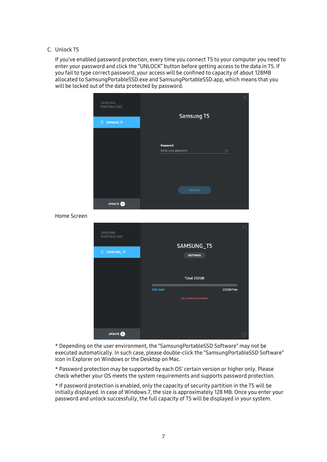#### C. Unlock T5

If you've enabled password protection, every time you connect T5 to your computer you need to enter your password and click the "UNLOCK" button before getting access to the data in T5. If you fail to type correct password, your access will be confined to capacity of about 128MB allocated to SamsungPortableSSD.exe and SamsungPortableSSD.app, which means that you will be locked out of the data protected by password.



Home Screen

| SAMSUNG<br><b>PORTABLE SSD</b> | SAMSUNG_T5                       |            |
|--------------------------------|----------------------------------|------------|
|                                |                                  |            |
| <b>E</b> SAMSUNG_T5            | <b>SETTINGS</b>                  |            |
|                                |                                  |            |
|                                |                                  |            |
|                                |                                  |            |
|                                | Total 232GB                      |            |
|                                |                                  |            |
|                                | <b>OGB Used</b>                  | 232GB Free |
|                                | <b>Security Mode is Enabled.</b> |            |
|                                |                                  |            |
|                                |                                  |            |
|                                |                                  |            |
|                                |                                  |            |
|                                |                                  |            |
|                                |                                  |            |
| <b>UPDATE</b> 2                |                                  |            |

\* Depending on the user environment, the "SamsungPortableSSD Software" may not be executed automatically. In such case, please double-click the "SamsungPortableSSD Software" icon in Explorer on Windows or the Desktop on Mac.

\* Password protection may be supported by each OS' certain version or higher only. Please check whether your OS meets the system requirements and supports password protection.

\* If password protection is enabled, only the capacity of security partition in the T5 will be initially displayed. In case of Windows 7, the size is approximately 128 MB. Once you enter your password and unlock successfully, the full capacity of T5 will be displayed in your system.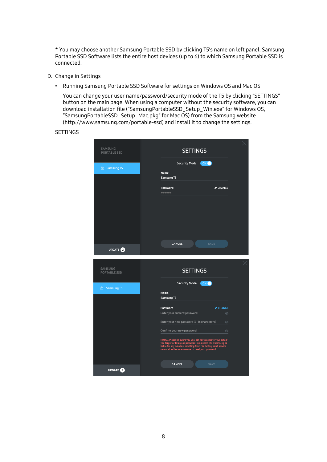\* You may choose another Samsung Portable SSD by clicking T5's name on left panel. Samsung Portable SSD Software lists the entire host devices (up to 6) to which Samsung Portable SSD is connected.

- D. Change in Settings
	- Running Samsung Portable SSD Software for settings on Windows OS and Mac OS

You can change your user name/password/security mode of the T5 by clicking "SETTINGS" button on the main page. When using a computer without the security software, you can download installation file ("SamsungPortableSSD\_Setup\_Win.exe" for Windows OS, "SamsungPortableSSD\_Setup\_Mac.pkg" for Mac OS) from the Samsung website (http://www.samsung.com/portable-ssd) and install it to change the settings.

#### **SETTINGS**

| SAMSUNG<br><b>PORTABLE SSD</b> | <b>SETTINGS</b>                                                                                                                                                                                                                                                 |  |
|--------------------------------|-----------------------------------------------------------------------------------------------------------------------------------------------------------------------------------------------------------------------------------------------------------------|--|
| <b>famsung T5</b>              | <b>Security Mode</b><br>ON (                                                                                                                                                                                                                                    |  |
|                                | <b>Name</b><br>Samsung T5                                                                                                                                                                                                                                       |  |
|                                | $\blacktriangleright$ CHANGE<br>Password                                                                                                                                                                                                                        |  |
|                                |                                                                                                                                                                                                                                                                 |  |
|                                |                                                                                                                                                                                                                                                                 |  |
|                                | <b>CANCEL</b><br><b>SAVE</b>                                                                                                                                                                                                                                    |  |
| <b>UPDATE</b>                  |                                                                                                                                                                                                                                                                 |  |
|                                |                                                                                                                                                                                                                                                                 |  |
| SAMSUNG<br><b>PORTABLE SSD</b> | <b>SETTINGS</b>                                                                                                                                                                                                                                                 |  |
|                                | <b>Security Mode</b><br>ON (                                                                                                                                                                                                                                    |  |
| <b>famsung T5</b>              | <b>Name</b><br>Samsung T5                                                                                                                                                                                                                                       |  |
|                                | Password<br>$\triangle$ CHANGE                                                                                                                                                                                                                                  |  |
|                                | Enter your current password<br>$\odot$                                                                                                                                                                                                                          |  |
|                                | Enter your new password (4-16 characters)<br>$\odot$<br>Confirm your new password<br>$\odot$                                                                                                                                                                    |  |
|                                | NOTICE: Please be aware you will not have access to your data if<br>you forget or lose your password. In no event shall Samsung be<br>liable for any data loss resulting from the factory reset service<br>rendered as the sole measure to reset your password. |  |
|                                | <b>CANCEL</b><br><b>SAVE</b>                                                                                                                                                                                                                                    |  |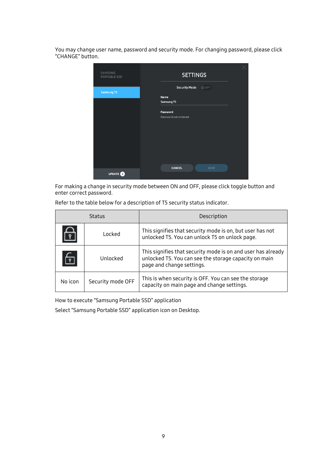You may change user name, password and security mode. For changing password, please click "CHANGE" button.



For making a change in security mode between ON and OFF, please click toggle button and enter correct password.

| <b>Status</b> |                   | Description                                                                                                                                        |  |
|---------------|-------------------|----------------------------------------------------------------------------------------------------------------------------------------------------|--|
|               | <b>Locked</b>     | This signifies that security mode is on, but user has not<br>unlocked T5. You can unlock T5 on unlock page.                                        |  |
| 叵             | Unlocked          | This signifies that security mode is on and user has already<br>unlocked T5. You can see the storage capacity on main<br>page and change settings. |  |
| No icon       | Security mode OFF | This is when security is OFF. You can see the storage<br>capacity on main page and change settings.                                                |  |

Refer to the table below for a description of T5 security status indicator.

How to execute "Samsung Portable SSD" application

Select "Samsung Portable SSD" application icon on Desktop.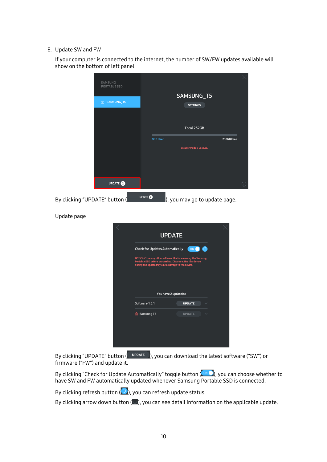#### E. Update SW and FW

If your computer is connected to the internet, the number of SW/FW updates available will show on the bottom of left panel.

| SAMSUNG<br>PORTABLE SSD       |                                                                                                                                                                                 |
|-------------------------------|---------------------------------------------------------------------------------------------------------------------------------------------------------------------------------|
| 6 SAMSUNG_T5                  | SAMSUNG_T5                                                                                                                                                                      |
|                               | <b>SETTINGS</b>                                                                                                                                                                 |
|                               |                                                                                                                                                                                 |
|                               | Total 232GB                                                                                                                                                                     |
|                               | <b>OGB Used</b><br>232GB Free<br><b>Security Mode is Enabled.</b>                                                                                                               |
|                               |                                                                                                                                                                                 |
|                               |                                                                                                                                                                                 |
| UPDATE <sup>O</sup>           |                                                                                                                                                                                 |
| By clicking "UPDATE" button ( | <b>UPDATE</b><br>l), you may go to update page.                                                                                                                                 |
| Update page                   |                                                                                                                                                                                 |
|                               | <b>UPDATE</b>                                                                                                                                                                   |
|                               | <b>Check for Updates Automatically</b><br>$\circ$<br>ON                                                                                                                         |
|                               | NOTICE: Close any other software that is accessing the Samsung<br>Portable SSD before proceeding. Disconnecting the device<br>during the update may cause damage to the device. |
|                               |                                                                                                                                                                                 |
|                               |                                                                                                                                                                                 |
|                               | You have 2 update(s)                                                                                                                                                            |
|                               | Software 1.5.1<br><b>UPDATE</b>                                                                                                                                                 |
|                               | <b>A</b> Samsung T5<br><b>UPDATE</b>                                                                                                                                            |
|                               |                                                                                                                                                                                 |
|                               |                                                                                                                                                                                 |
|                               |                                                                                                                                                                                 |

By clicking "UPDATE" button ( UPDATE ), you can download the latest software ("SW") or firmware ("FW") and update it.

By clicking "Check for Update Automatically" toggle button (**WICLE**), you can choose whether to have SW and FW automatically updated whenever Samsung Portable SSD is connected.

By clicking refresh button  $\left( \bigcirc \right)$ , you can refresh update status.

By clicking arrow down button  $(\Box)$ , you can see detail information on the applicable update.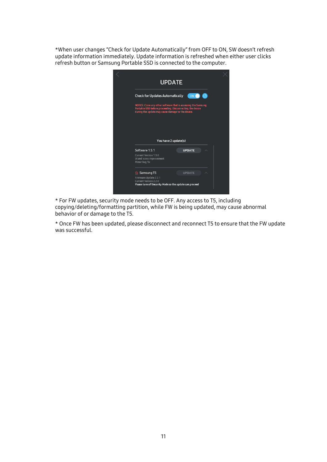\*When user changes "Check for Update Automatically" from OFF to ON, SW doesn't refresh update information immediately. Update information is refreshed when either user clicks refresh button or Samsung Portable SSD is connected to the computer.

|                                                                                                                  | <b>UPDATE</b>                                                  |  |
|------------------------------------------------------------------------------------------------------------------|----------------------------------------------------------------|--|
| <b>Check for Updates Automatically</b>                                                                           | ON O<br>$\bullet$                                              |  |
| Portable SSD before proceeding. Disconnecting the device<br>during the update may cause damage to the device.    | NOTICE: Close any other software that is accessing the Samsung |  |
|                                                                                                                  |                                                                |  |
|                                                                                                                  | You have 2 update(s)                                           |  |
|                                                                                                                  |                                                                |  |
| Software 1.5.1                                                                                                   | <b>UPDATE</b>                                                  |  |
|                                                                                                                  |                                                                |  |
| Current Version 1.5.0<br>UI and icons improvement<br>Minor bug fix                                               |                                                                |  |
| नी Samsung T5                                                                                                    | <b>UPDATE</b>                                                  |  |
| Firmware Update 2.2.1<br><b>Current Version 2.2.0</b><br>Please turn off Security Mode so the update can proceed |                                                                |  |

\* For FW updates, security mode needs to be OFF. Any access to T5, including copying/deleting/formatting partition, while FW is being updated, may cause abnormal behavior of or damage to the T5.

\* Once FW has been updated, please disconnect and reconnect T5 to ensure that the FW update was successful.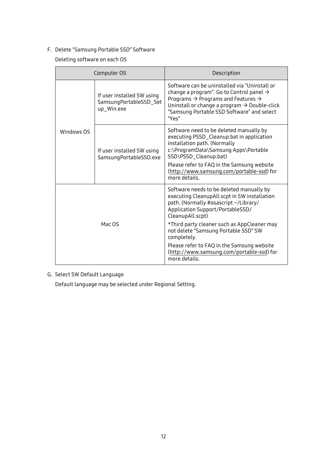#### F. Delete "Samsung Portable SSD" Software

Deleting software on each OS

|            | Computer OS                                                        | Description                                                                                                                                                                                                                                                                                                                                                                                                 |
|------------|--------------------------------------------------------------------|-------------------------------------------------------------------------------------------------------------------------------------------------------------------------------------------------------------------------------------------------------------------------------------------------------------------------------------------------------------------------------------------------------------|
|            | If user installed SW using<br>SamsungPortableSSD_Set<br>up_Win.exe | Software can be uninstalled via "Uninstall or<br>change a program". Go to Control panel $\rightarrow$<br>Programs $\rightarrow$ Programs and Features $\rightarrow$<br>Uninstall or change a program $\rightarrow$ Double-click<br>"Samsung Portable SSD Software" and select<br>"Yes"                                                                                                                      |
| Windows OS | If user installed SW using<br>SamsungPortableSSD.exe               | Software need to be deleted manually by<br>executing PSSD_Cleanup.bat in application<br>installation path. (Normally<br>c:\ProgramData\Samsung Apps\Portable<br>SSD\PSSD_Cleanup.bat)<br>Please refer to FAQ in the Samsung website<br>(http://www.samsung.com/portable-ssd) for<br>more details.                                                                                                           |
| Mac OS     |                                                                    | Software needs to be deleted manually by<br>executing CleanupAll.scpt in SW installation<br>path. (Normally #osascript ~/Library/<br>Application Support/PortableSSD/<br>CleanupAll.scpt)<br>*Third party cleaner such as AppCleaner may<br>not delete "Samsung Portable SSD" SW<br>completely.<br>Please refer to FAQ in the Samsung website<br>(http://www.samsung.com/portable-ssd) for<br>more details. |

#### G. Select SW Default Language

Default language may be selected under Regional Setting.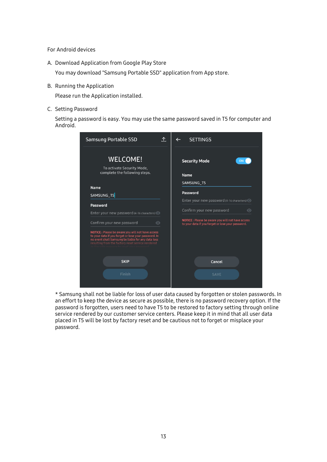For Android devices

A. Download Application from Google Play Store

You may download "Samsung Portable SSD" application from App store.

B. Running the Application

Please run the Application installed.

C. Setting Password

Setting a password is easy. You may use the same password saved in T5 for computer and Android.

| <b>Samsung Portable SSD</b>                                                                                                                                                                                         | .ጉ. | <b>SETTINGS</b>                                                                                       |
|---------------------------------------------------------------------------------------------------------------------------------------------------------------------------------------------------------------------|-----|-------------------------------------------------------------------------------------------------------|
| <b>WELCOME!</b>                                                                                                                                                                                                     |     | <b>Security Mode</b><br>ON                                                                            |
| To activate Security Mode,<br>complete the following steps.                                                                                                                                                         |     | <b>Name</b>                                                                                           |
|                                                                                                                                                                                                                     |     | SAMSUNG_T5                                                                                            |
| <b>Name</b><br>SAMSUNG_T5                                                                                                                                                                                           |     | Password                                                                                              |
| Password                                                                                                                                                                                                            |     | Enter your new password (4-16 characters)                                                             |
| Enter your new password (4-16 characters) O                                                                                                                                                                         |     | Confirm your new password<br>$\odot$                                                                  |
| Confirm your new password<br>$\odot$                                                                                                                                                                                |     | NOTICE: Please be aware you will not have access<br>to your data if you forget or lose your password. |
| NOTICE: Please be aware you will not have access<br>to your data if you forget or lose your password. In<br>no event shall Samsung be liable for any data loss<br>resulting from the factory reset service rendered |     |                                                                                                       |
| <b>SKIP</b>                                                                                                                                                                                                         |     | Cancel                                                                                                |
| Finish                                                                                                                                                                                                              |     | <b>SAVE</b>                                                                                           |
|                                                                                                                                                                                                                     |     |                                                                                                       |

\* Samsung shall not be liable for loss of user data caused by forgotten or stolen passwords. In an effort to keep the device as secure as possible, there is no password recovery option. If the password is forgotten, users need to have T5 to be restored to factory setting through online service rendered by our customer service centers. Please keep it in mind that all user data placed in T5 will be lost by factory reset and be cautious not to forget or misplace your password.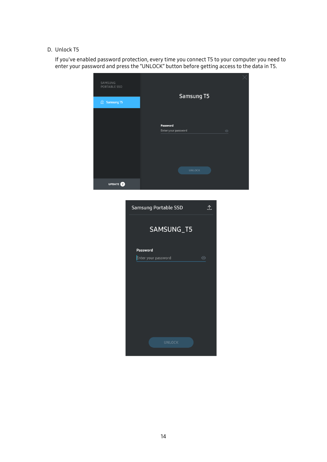#### D. Unlock T5

If you've enabled password protection, every time you connect T5 to your computer you need to enter your password and press the "UNLOCK" button before getting access to the data in T5.

| SAMSUNG<br>PORTABLE SSD | Samsung T5                     |  |
|-------------------------|--------------------------------|--|
| Samsung T5              |                                |  |
|                         | Password                       |  |
|                         | Enter your password<br>$\odot$ |  |
|                         | <b>UNLOCK</b>                  |  |
| <b>UPDATE</b>           |                                |  |
|                         |                                |  |

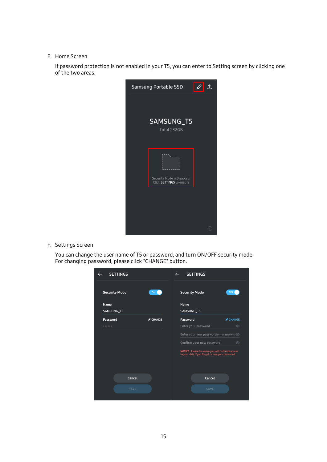#### E. Home Screen

If password protection is not enabled in your T5, you can enter to Setting screen by clicking one of the two areas.



F. Settings Screen

You can change the user name of T5 or password, and turn ON/OFF security mode. For changing password, please click "CHANGE" button.

| <b>SETTINGS</b>      |                    | <b>SETTINGS</b>                                                                                        |                    |
|----------------------|--------------------|--------------------------------------------------------------------------------------------------------|--------------------|
| <b>Security Mode</b> | ON <sub>0</sub>    | <b>Security Mode</b>                                                                                   | ON                 |
| Name                 |                    | <b>Name</b>                                                                                            |                    |
| SAMSUNG_T5           |                    | SAMSUNG T5                                                                                             |                    |
| Password             | $\triangle$ CHANGE | Password                                                                                               | $\triangle$ CHANGE |
|                      |                    | Enter your password                                                                                    | $\odot$            |
|                      |                    | Enter your new password (4-16 characters) O                                                            |                    |
|                      |                    | Confirm your new password                                                                              | $\odot$            |
|                      |                    | NOTICE : Please be aware you will not have access<br>to your data if you forget or lose your password. |                    |
| Cancel               |                    | Cancel                                                                                                 |                    |
| <b>SAVE</b>          |                    | <b>SAVE</b>                                                                                            |                    |
|                      |                    |                                                                                                        |                    |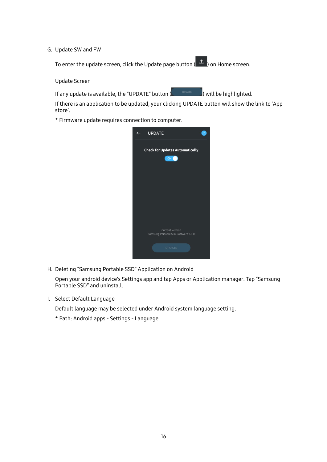#### G. Update SW and FW

To enter the update screen, click the Update page button ( $\triangle$ ) on Home screen.

Update Screen

If any update is available, the "UPDATE" button  $($  we define  $)$  will be highlighted.

If there is an application to be updated, your clicking UPDATE button will show the link to 'App store'.

\* Firmware update requires connection to computer.



H. Deleting "Samsung Portable SSD" Application on Android

Open your android device's Settings app and tap Apps or Application manager. Tap "Samsung Portable SSD" and uninstall.

I. Select Default Language

Default language may be selected under Android system language setting.

\* Path: Android apps - Settings - Language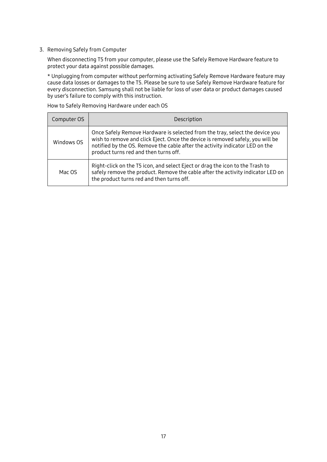3. Removing Safely from Computer

When disconnecting T5 from your computer, please use the Safely Remove Hardware feature to protect your data against possible damages.

\* Unplugging from computer without performing activating Safely Remove Hardware feature may cause data losses or damages to the T5. Please be sure to use Safely Remove Hardware feature for every disconnection. Samsung shall not be liable for loss of user data or product damages caused by user's failure to comply with this instruction.

How to Safely Removing Hardware under each OS

| Computer OS | Description                                                                                                                                                                                                                                                                             |  |  |
|-------------|-----------------------------------------------------------------------------------------------------------------------------------------------------------------------------------------------------------------------------------------------------------------------------------------|--|--|
| Windows OS  | Once Safely Remove Hardware is selected from the tray, select the device you<br>wish to remove and click Eject. Once the device is removed safely, you will be<br>notified by the OS. Remove the cable after the activity indicator LED on the<br>product turns red and then turns off. |  |  |
| Mac OS      | Right-click on the T5 icon, and select Eject or drag the icon to the Trash to<br>safely remove the product. Remove the cable after the activity indicator LED on<br>the product turns red and then turns off.                                                                           |  |  |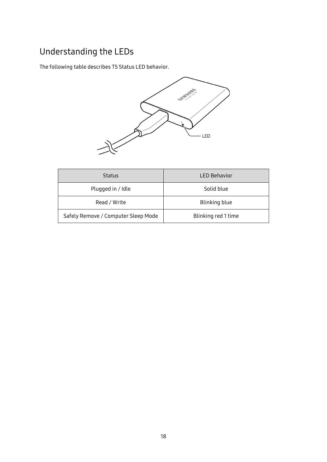### <span id="page-20-0"></span>Understanding the LEDs

The following table describes T5 Status LED behavior.



| <b>Status</b>                       | <b>LED Behavior</b> |
|-------------------------------------|---------------------|
| Plugged in / Idle                   | Solid blue          |
| Read / Write                        | Blinking blue       |
| Safely Remove / Computer Sleep Mode | Blinking red 1 time |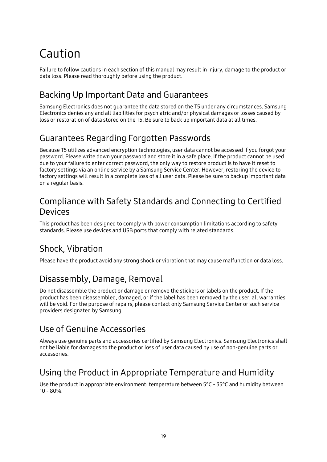## <span id="page-21-0"></span>Caution

Failure to follow cautions in each section of this manual may result in injury, damage to the product or data loss. Please read thoroughly before using the product.

### <span id="page-21-1"></span>Backing Up Important Data and Guarantees

Samsung Electronics does not guarantee the data stored on the T5 under any circumstances. Samsung Electronics denies any and all liabilities for psychiatric and/or physical damages or losses caused by loss or restoration of data stored on the T5. Be sure to back up important data at all times.

### <span id="page-21-2"></span>Guarantees Regarding Forgotten Passwords

Because T5 utilizes advanced encryption technologies, user data cannot be accessed if you forgot your password. Please write down your password and store it in a safe place. If the product cannot be used due to your failure to enter correct password, the only way to restore product is to have it reset to factory settings via an online service by a Samsung Service Center. However, restoring the device to factory settings will result in a complete loss of all user data. Please be sure to backup important data on a regular basis.

### <span id="page-21-3"></span>Compliance with Safety Standards and Connecting to Certified Devices

This product has been designed to comply with power consumption limitations according to safety standards. Please use devices and USB ports that comply with related standards.

### <span id="page-21-4"></span>Shock, Vibration

Please have the product avoid any strong shock or vibration that may cause malfunction or data loss.

### <span id="page-21-5"></span>Disassembly, Damage, Removal

Do not disassemble the product or damage or remove the stickers or labels on the product. If the product has been disassembled, damaged, or if the label has been removed by the user, all warranties will be void. For the purpose of repairs, please contact only Samsung Service Center or such service providers designated by Samsung.

### <span id="page-21-6"></span>Use of Genuine Accessories

Always use genuine parts and accessories certified by Samsung Electronics. Samsung Electronics shall not be liable for damages to the product or loss of user data caused by use of non-genuine parts or accessories.

### <span id="page-21-7"></span>Using the Product in Appropriate Temperature and Humidity

Use the product in appropriate environment: temperature between 5°C - 35°C and humidity between 10 - 80%.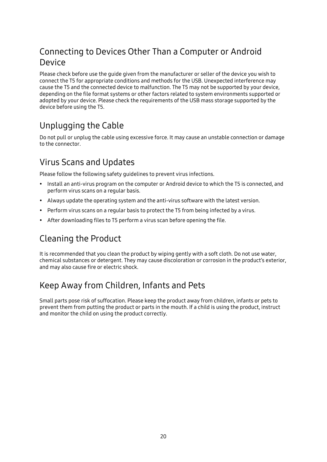### <span id="page-22-0"></span>Connecting to Devices Other Than a Computer or Android Device

Please check before use the guide given from the manufacturer or seller of the device you wish to connect the T5 for appropriate conditions and methods for the USB. Unexpected interference may cause the T5 and the connected device to malfunction. The T5 may not be supported by your device, depending on the file format systems or other factors related to system environments supported or adopted by your device. Please check the requirements of the USB mass storage supported by the device before using the T5.

### <span id="page-22-1"></span>Unplugging the Cable

Do not pull or unplug the cable using excessive force. It may cause an unstable connection or damage to the connector.

### <span id="page-22-2"></span>Virus Scans and Updates

Please follow the following safety guidelines to prevent virus infections.

- Install an anti-virus program on the computer or Android device to which the T5 is connected, and perform virus scans on a regular basis.
- Always update the operating system and the anti-virus software with the latest version.
- Perform virus scans on a regular basis to protect the T5 from being infected by a virus.
- After downloading files to T5 perform a virus scan before opening the file.

### <span id="page-22-3"></span>Cleaning the Product

It is recommended that you clean the product by wiping gently with a soft cloth. Do not use water, chemical substances or detergent. They may cause discoloration or corrosion in the product's exterior, and may also cause fire or electric shock.

### <span id="page-22-4"></span>Keep Away from Children, Infants and Pets

Small parts pose risk of suffocation. Please keep the product away from children, infants or pets to prevent them from putting the product or parts in the mouth. If a child is using the product, instruct and monitor the child on using the product correctly.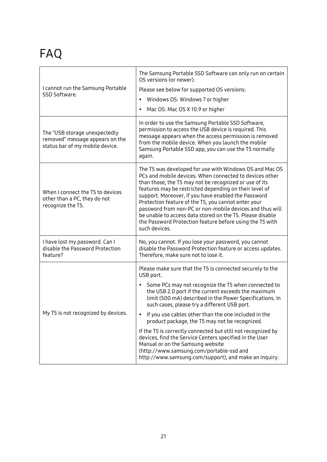## <span id="page-23-0"></span>FAQ

| I cannot run the Samsung Portable<br>SSD Software.                                                  | The Samsung Portable SSD Software can only run on certain<br>OS versions (or newer).<br>Please see below for supported OS versions:<br>Windows OS: Windows 7 or higher<br>$\bullet$<br>Mac OS: Mac OS X 10.9 or higher<br>$\bullet$                                                                                                                                                                                                                                                                                                                                                                                                                                                         |  |  |  |
|-----------------------------------------------------------------------------------------------------|---------------------------------------------------------------------------------------------------------------------------------------------------------------------------------------------------------------------------------------------------------------------------------------------------------------------------------------------------------------------------------------------------------------------------------------------------------------------------------------------------------------------------------------------------------------------------------------------------------------------------------------------------------------------------------------------|--|--|--|
| The "USB storage unexpectedly<br>removed" message appears on the<br>status bar of my mobile device. | In order to use the Samsung Portable SSD Software,<br>permission to access the USB device is required. This<br>message appears when the access permission is removed<br>from the mobile device. When you launch the mobile<br>Samsung Portable SSD app, you can use the T5 normally<br>again.                                                                                                                                                                                                                                                                                                                                                                                               |  |  |  |
| When I connect the T5 to devices<br>other than a PC, they do not<br>recognize the T5.               | The T5 was developed for use with Windows OS and Mac OS<br>PCs and mobile devices. When connected to devices other<br>than those, the T5 may not be recognized or use of its<br>features may be restricted depending on their level of<br>support. Moreover, if you have enabled the Password<br>Protection feature of the T5, you cannot enter your<br>password from non-PC or non-mobile devices and thus will<br>be unable to access data stored on the T5. Please disable<br>the Password Protection feature before using the T5 with<br>such devices.                                                                                                                                  |  |  |  |
| I have lost my password. Can I<br>disable the Password Protection<br>feature?                       | No, you cannot. If you lose your password, you cannot<br>disable the Password Protection feature or access updates.<br>Therefore, make sure not to lose it.                                                                                                                                                                                                                                                                                                                                                                                                                                                                                                                                 |  |  |  |
| My T5 is not recognized by devices.                                                                 | Please make sure that the T5 is connected securely to the<br>USB port.<br>Some PCs may not recognize the T5 when connected to<br>$\bullet$<br>the USB 2.0 port if the current exceeds the maximum<br>limit (500 mA) described in the Power Specifications. In<br>such cases, please try a different USB port.<br>If you use cables other than the one included in the<br>product package, the T5 may not be recognized.<br>If the T5 is correctly connected but still not recognized by<br>devices, find the Service Centers specified in the User<br>Manual or on the Samsung website<br>(http://www.samsung.com/portable-ssd and<br>http://www.samsung.com/support), and make an inquiry. |  |  |  |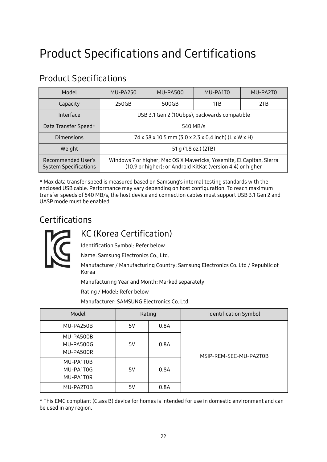## <span id="page-24-0"></span>Product Specifications and Certifications

| Model                                              | MU-PA250                                             | MU-PA500 | MU-PA1T0                                                                                                                             | MU-PA2T0 |
|----------------------------------------------------|------------------------------------------------------|----------|--------------------------------------------------------------------------------------------------------------------------------------|----------|
| Capacity                                           | 250GB                                                | 500GB    | 1TB                                                                                                                                  | 2TB      |
| Interface                                          | USB 3.1 Gen 2 (10Gbps), backwards compatible         |          |                                                                                                                                      |          |
| Data Transfer Speed*                               | 540 MB/s                                             |          |                                                                                                                                      |          |
| Dimensions                                         | 74 x 58 x 10.5 mm (3.0 x 2.3 x 0.4 inch) (L x W x H) |          |                                                                                                                                      |          |
| Weight                                             | 51 g (1.8 oz.) (2TB)                                 |          |                                                                                                                                      |          |
| Recommended User's<br><b>System Specifications</b> |                                                      |          | Windows 7 or higher; Mac OS X Mavericks, Yosemite, El Capitan, Sierra<br>(10.9 or higher); or Android KitKat (version 4.4) or higher |          |

### <span id="page-24-1"></span>Product Specifications

\* Max data transfer speed is measured based on Samsung's internal testing standards with the enclosed USB cable. Performance may vary depending on host configuration. To reach maximum transfer speeds of 540 MB/s, the host device and connection cables must support USB 3.1 Gen 2 and UASP mode must be enabled.

### <span id="page-24-2"></span>Certifications



### <span id="page-24-3"></span>KC (Korea Certification)

Identification Symbol: Refer below

Name: Samsung Electronics Co., Ltd.

Manufacturer / Manufacturing Country: Samsung Electronics Co. Ltd / Republic of Korea

Manufacturing Year and Month: Marked separately

Rating / Model: Refer below

Manufacturer: SAMSUNG Electronics Co. Ltd.

| Model                               | Rating |      | Identification Symbol  |
|-------------------------------------|--------|------|------------------------|
| MU-PA250B                           | 5V     | 0.8A |                        |
| MU-PA500B<br>MU-PA500G<br>MU-PA500R | 5V     | 0.8A | MSIP-REM-SEC-MU-PA2T0B |
| MU-PA1T0B<br>MU-PA1T0G<br>MU-PA1TOR | 5V     | 0.8A |                        |
| MU-PA2T0B                           | 5V     | 0.8A |                        |

\* This EMC compliant (Class B) device for homes is intended for use in domestic environment and can be used in any region.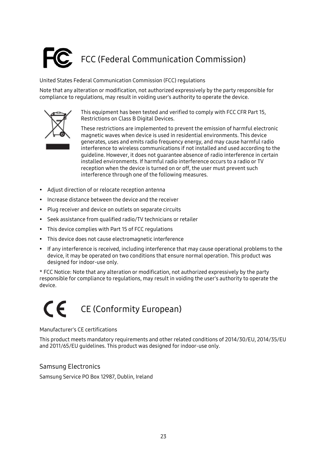# <span id="page-25-0"></span>FCC (Federal Communication Commission)

United States Federal Communication Commission (FCC) regulations

Note that any alteration or modification, not authorized expressively by the party responsible for compliance to regulations, may result in voiding user's authority to operate the device.



This equipment has been tested and verified to comply with FCC CFR Part 15, Restrictions on Class B Digital Devices.

These restrictions are implemented to prevent the emission of harmful electronic magnetic waves when device is used in residential environments. This device generates, uses and emits radio frequency energy, and may cause harmful radio interference to wireless communications if not installed and used according to the guideline. However, it does not guarantee absence of radio interference in certain installed environments. If harmful radio interference occurs to a radio or TV reception when the device is turned on or off, the user must prevent such interference through one of the following measures.

- Adjust direction of or relocate reception antenna
- Increase distance between the device and the receiver
- Plug receiver and device on outlets on separate circuits
- Seek assistance from qualified radio/TV technicians or retailer
- This device complies with Part 15 of FCC regulations
- This device does not cause electromagnetic interference
- If any interference is received, including interference that may cause operational problems to the device, it may be operated on two conditions that ensure normal operation. This product was designed for indoor-use only.

\* FCC Notice: Note that any alteration or modification, not authorized expressively by the party responsible for compliance to regulations, may result in voiding the user's authority to operate the device.

### <span id="page-25-1"></span> $\epsilon$ CE (Conformity European)

#### Manufacturer's CE certifications

This product meets mandatory requirements and other related conditions of 2014/30/EU, 2014/35/EU and 2011/65/EU guidelines. This product was designed for indoor-use only.

#### Samsung Electronics

Samsung Service PO Box 12987, Dublin, Ireland